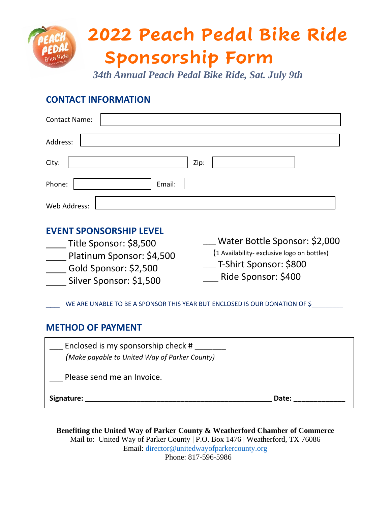## **2022 Peach Pedal Bike Ride Sponsorship Form**

*34th Annual Peach Pedal Bike Ride, Sat. July 9th*

## **CONTACT INFORMATION**

| <b>Contact Name:</b> |        |
|----------------------|--------|
| Address:             |        |
| City:                | Zip:   |
| Phone:               | Email: |
| Web Address:         |        |

## **EVENT SPONSORSHIP LEVEL**

\_\_\_\_ Title Sponsor: \$8,500 Platinum Sponsor: \$4,500 \_\_\_\_ Gold Sponsor: \$2,500 \_\_\_\_ Silver Sponsor: \$1,500

\_\_\_\_ Water Bottle Sponsor: \$2,000 (1 Availability- exclusive logo on bottles) \_\_\_\_ T-Shirt Sponsor: \$800 \_\_\_ Ride Sponsor: \$400

WE ARE UNABLE TO BE A SPONSOR THIS YEAR BUT ENCLOSED IS OUR DONATION OF \$

## **METHOD OF PAYMENT**

| Enclosed is my sponsorship check #<br>(Make payable to United Way of Parker County) |       |
|-------------------------------------------------------------------------------------|-------|
| Please send me an Invoice.                                                          |       |
| Signature:                                                                          | Date: |

**Benefiting the United Way of Parker County & Weatherford Chamber of Commerce** Mail to: United Way of Parker County | P.O. Box 1476 | Weatherford, TX 76086 Email: [director@unitedwayofparkercounty.org](mailto:director@unitedwayofparkercounty.org) Phone: 817-596-5986